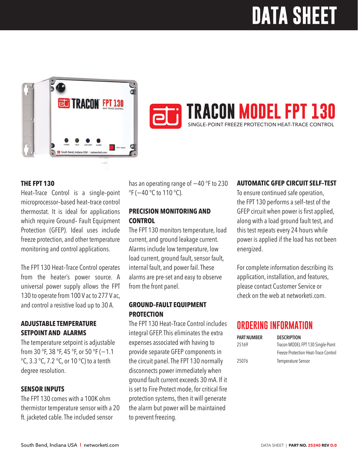# **DATA SHEET**





### **AUTOMATIC GFEP CIRCUIT SELF–TEST**

To ensure continued safe operation, the FPT 130 performs a self–test of the GFEP circuit when power is first applied, along with a load ground fault test, and this test repeats every 24 hours while power is applied if the load has not been energized.

For complete information describing its application, installation, and features, please contact Customer Service or check on the web at networketi.com.

### **ORDERING INFORMATION**

| <b>PART NUMBER</b> | <b>DESCRIPTION</b>                   |
|--------------------|--------------------------------------|
| 25169              | Tracon MODEL FPT 130 Single-Point    |
|                    | Freeze Protection Heat-Trace Control |
| 25076              | <b>Temperature Sensor</b>            |

#### **THE FPT 130**

Heat–Trace Control is a single–point microprocessor–based heat–trace control thermostat. It is ideal for applications which require Ground– Fault Equipment Protection (GFEP). Ideal uses include freeze protection, and other temperature monitoring and control applications.

The FPT 130 Heat–Trace Control operates from the heater's power source. A universal power supply allows the FPT 130 to operate from 100 V ac to 277 V ac, and control a resistive load up to 30 A.

#### **ADJUSTABLE TEMPERATURE SETPOINT AND ALARMS**

The temperature setpoint is adjustable from 30 °F, 38 °F, 45 °F, or 50 °F (−1.1 °C, 3.3 °C, 7.2 °C, or 10 °C) to a tenth degree resolution.

#### **SENSOR INPUTS**

The FPT 130 comes with a 100K ohm thermistor temperature sensor with a 20 ft. jacketed cable. The included sensor

has an operating range of −40 °F to 230 °F (-40 °C to 110 °C).

#### **PRECISION MONITORING AND CONTROL**

The FPT 130 monitors temperature, load current, and ground leakage current. Alarms include low temperature, low load current, ground fault, sensor fault, internal fault, and power fail. These alarms are pre-set and easy to observe from the front panel.

#### **GROUND–FAULT EQUIPMENT PROTECTION**

The FPT 130 Heat–Trace Control includes integral GFEP. This eliminates the extra expenses associated with having to provide separate GFEP components in the circuit panel. The FPT 130 normally disconnects power immediately when ground fault current exceeds 30 mA. If it is set to Fire Protect mode, for critical fire protection systems, then it will generate the alarm but power will be maintained to prevent freezing.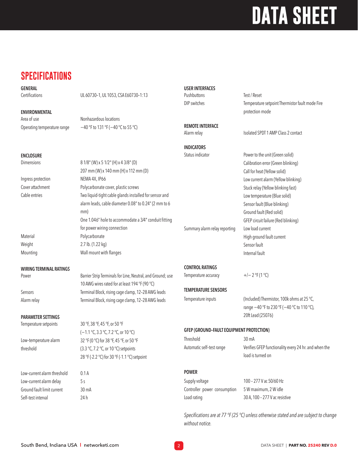## **DATA SHEET**

## **SPECIFICATIONS**

| <b>GENERAL</b>                 |                                                                                                              | <b>USER INTERFACES</b>                          |                                                       |
|--------------------------------|--------------------------------------------------------------------------------------------------------------|-------------------------------------------------|-------------------------------------------------------|
| Certifications                 | UL 60730-1, UL 1053, CSA E60730-1:13                                                                         | Pushbuttons                                     | Test / Reset                                          |
|                                |                                                                                                              | DIP switches                                    | Temperature setpoint Thermistor fault mode Fire       |
| <b>ENVIRONMENTAL</b>           |                                                                                                              |                                                 | protection mode                                       |
| Area of use                    | Nonhazardous locations                                                                                       |                                                 |                                                       |
| Operating temperature range    | -40 °F to 131 °F (-40 °C to 55 °C)                                                                           | <b>REMOTE INTERFACE</b><br>Alarm relay          | Isolated SPDT 1 AMP Class 2 contact                   |
|                                |                                                                                                              | <b>INDICATORS</b>                               |                                                       |
| <b>ENCLOSURE</b>               |                                                                                                              | Status indicator                                | Power to the unit (Green solid)                       |
| Dimensions                     | 8 1/8" (W) x 5 1/2" (H) x 4 3/8" (D)                                                                         |                                                 | Calibration error (Green blinking)                    |
|                                | 207 mm (W) x 140 mm (H) x 112 mm (D)                                                                         |                                                 | Call for heat (Yellow solid)                          |
| Ingress protection             | NEMA 4X, IP66                                                                                                |                                                 | Low current alarm (Yellow blinking)                   |
| Cover attachment               | Polycarbonate cover, plastic screws                                                                          |                                                 | Stuck relay (Yellow blinking fast)                    |
| Cable entries                  | Two liquid-tight cable glands installed for sensor and                                                       |                                                 | Low temperature (Blue solid)                          |
|                                | alarm leads, cable diameter 0.08" to 0.24" (2 mm to 6                                                        |                                                 | Sensor fault (Blue blinking)                          |
|                                | mm)                                                                                                          |                                                 | Ground fault (Red solid)                              |
|                                | One 1.046" hole to accommodate a 3/4" conduit fitting                                                        |                                                 | GFEP circuit failure (Red blinking)                   |
|                                | for power wiring connection                                                                                  | Summary alarm relay reporting                   | Low load current                                      |
| Material                       | Polycarbonate                                                                                                |                                                 | High ground fault current                             |
| Weight                         | 2.7 lb. (1.22 kg)                                                                                            |                                                 | Sensor fault                                          |
| Mounting                       | Wall mount with flanges                                                                                      |                                                 | Internal fault                                        |
| <b>WIRING TERMINAL RATINGS</b> |                                                                                                              | <b>CONTROL RATINGS</b>                          |                                                       |
| Power                          | Barrier Strip Terminals for Line, Neutral, and Ground; use<br>10 AWG wires rated for at least 194 °F (90 °C) | Temperature accuracy                            | $+/- 2$ °F (1 °C)                                     |
| Sensors                        | Terminal Block, rising cage clamp, 12-28 AWG leads                                                           | <b>TEMPERATURE SENSORS</b>                      |                                                       |
| Alarm relay                    | Terminal Block, rising cage clamp, 12-28 AWG leads                                                           | Temperature inputs                              | (Included) Thermistor, 100k ohms at 25 °C,            |
|                                |                                                                                                              |                                                 | range -40 °F to 230 °F (-40 °C to 110 °C),            |
| <b>PARAMETER SETTINGS</b>      |                                                                                                              |                                                 | 20ft Lead (25076)                                     |
| Temperature setpoints          | 30 °F, 38 °F, 45 °F, or 50 °F                                                                                |                                                 |                                                       |
|                                | (-1.1 °C, 3.3 °C, 7.2 °C, or 10 °C)                                                                          | <b>GFEP (GROUND-FAULT EQUIPMENT PROTECTION)</b> |                                                       |
| Low-temperature alarm          | 32 °F (0 °C) for 38 °F, 45 °F, or 50 °F                                                                      | Threshold                                       | 30 mA                                                 |
| threshold                      | (3.3 °C, 7.2 °C, or 10 °C) setpoints                                                                         | Automatic self-test range                       | Verifies GFEP functionality every 24 hr. and when the |
|                                | 28 °F (-2.2 °C) for 30 °F (-1.1 °C) setpoint                                                                 |                                                 | load is turned on                                     |
| Low-current alarm threshold    | 0.1A                                                                                                         | <b>POWER</b>                                    |                                                       |
| Low-current alarm delay        | 5s                                                                                                           | Supply voltage                                  | 100 - 277 V ac 50/60 Hz                               |
| Ground fault limit current     | 30 mA                                                                                                        | Controller power consumption                    | 5 W maximum, 2 W idle                                 |
| Self-test interval             | 24h                                                                                                          | Load rating                                     | 30 A, 100 - 277 V ac resistive                        |
|                                |                                                                                                              |                                                 |                                                       |

*Specifications are at 77 °F (25 °C) unless otherwise stated and are subject to change without notice.*